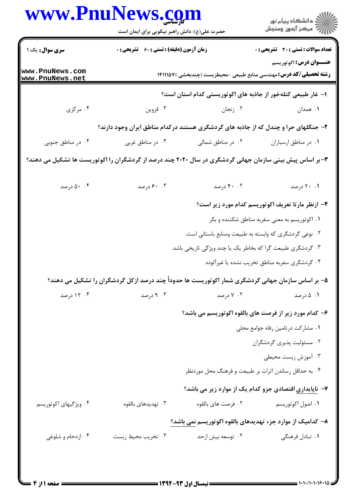|                                    | حضرت علی(ع): دانش راهبر نیکویی برای ایمان است                                                            |                                                                            | د دانشڪاه پيام نور<br>(7 مرڪز آزمون وسنڊش         |
|------------------------------------|----------------------------------------------------------------------------------------------------------|----------------------------------------------------------------------------|---------------------------------------------------|
| <b>سری سوال :</b> یک ۱             | زمان آزمون (دقیقه) : تستی : 60 ٪ تشریحی : 0                                                              |                                                                            | <b>تعداد سوالات : تستی : 30 ٪ تشریحی : 0</b>      |
| www.PnuNews.com<br>www.PnuNews.net |                                                                                                          | <b>رشته تحصیلی/کد درس:</b> مهندسی منابع طبیعی -محیطزیست (چندبخشی )۱۴۱۱۱۱۵۷ | <b>عنـــوان درس:</b> اکوتوریسم                    |
|                                    |                                                                                                          | ا– غار طبیعی کتلهخور از جاذبه های اکوتوریستی کدام استان است؟               |                                                   |
| ۰۴ مرکزی                           | ۰۳ قزوين                                                                                                 | ۰۲ زنجان                                                                   | ۰۱ همدان                                          |
|                                    | ۲- جنگلهای حرا و چندل که از جاذبه های گردشگری هستند درکدام مناطق ایران وجود دارند؟                       |                                                                            |                                                   |
| ۰۴ در مناطق جنوبی                  | ۰۳ در مناطق غربی                                                                                         | ۰۲ در مناطق شمالی                                                          | ٠١ در مناطق ارسباران                              |
|                                    | ۳- بر اساس پیش بینی سازمان جهانی گردشگری در سال ۲۰۲۰ چند درصد از گردشگران را اکوتوریست ها تشکیل می دهند؟ |                                                                            |                                                   |
| ۰۰ ۵۰ درصد                         | ۰. ۶۰ درصد                                                                                               | ۰.۲ درصد                                                                   | ۰۱ ۲۰ درصد                                        |
|                                    |                                                                                                          |                                                                            | ۴- ازنظر مارتا تعریف اکوتوریسم کدام مورد زیر است؟ |
|                                    |                                                                                                          |                                                                            | ۰۱ اکوتوریسم به معنی سفربه مناطق شکننده و بکر     |
|                                    |                                                                                                          | ۰۲ نوعی گردشگری که وابسته به طبیعت ومنابع باستانی است.                     |                                                   |
|                                    |                                                                                                          | ۰۳ گردشگری طبیعت گرا که بخاطر یک یا چند ویژگی تاریخی باشد.                 |                                                   |
|                                    |                                                                                                          |                                                                            | ۰۴ گردشگری سفربه مناطق تخریب نشده یا غیرآلوده     |
|                                    | ۵– بر اساس سازمان جهانی گردشگری شمار اکوتوریست ها حدوداً چند درصد ازکل گردشگران را تشکیل می دهند؟        |                                                                            |                                                   |
| ۰۴ درصد                            | ۰۳ درصد                                                                                                  | ۰۲ درصد                                                                    | ۰۱ ۵ درصد                                         |
|                                    |                                                                                                          | ۶- کدام مورد زیر از فرصت های بالقوه اکوتوریسم می باشد؟                     |                                                   |
|                                    |                                                                                                          |                                                                            | ٠١ مشاركت درتامين رفاه جوامع محلى                 |
|                                    |                                                                                                          |                                                                            | ۰۲ مسئولیت پذیری گردشگران                         |
|                                    |                                                                                                          |                                                                            | ۰۳ آموزش زیست محیطی                               |
|                                    |                                                                                                          | ۰۴ به حداقل رساندن اثرات بر طبیعت و فرهنگ محل موردنظر                      |                                                   |
|                                    |                                                                                                          | ۷- ناپایداری اقتصادی جزو کدام یک از موارد زیر می باشد؟                     |                                                   |
| ۰۴ ویژگیهای اکوتوریسم              | ۰۳ تهدیدهای بالقوه                                                                                       | ۰۲ فرصت های بالقوه                                                         | ۰۱ اصول اکوتوریسم                                 |
|                                    |                                                                                                          | ۸– کدامیک از موارد جزء تهدیدهای بالقوه اکوتوریسم نمی باشد؟                 |                                                   |
| ۰۴ ازدحام و شلوغی                  | ۰۳ تخریب محیط زیست                                                                                       | ۰۲ توسعه بيش ازحد                                                          | ۰۱ تبادل فرهنگی                                   |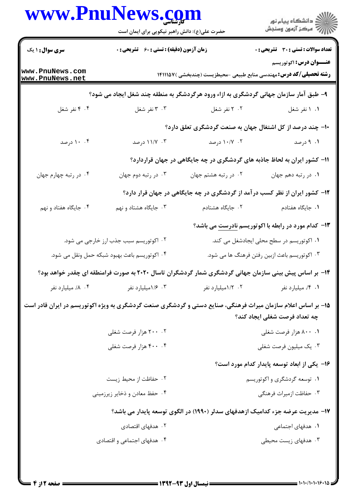| www.PnuNews.com                               |                                                    |                                               |                                                                                                                                               |
|-----------------------------------------------|----------------------------------------------------|-----------------------------------------------|-----------------------------------------------------------------------------------------------------------------------------------------------|
|                                               | حضرت علی(ع): دانش راهبر نیکویی برای ایمان است      |                                               |                                                                                                                                               |
| <b>سری سوال : ۱ یک</b>                        | <b>زمان آزمون (دقیقه) : تستی : 60 ٪ تشریحی : 0</b> |                                               | <b>تعداد سوالات : تستي : 30 ٪ تشريحي : 0</b>                                                                                                  |
| www.PnuNews.com<br>www.PnuNews.net            |                                                    |                                               | <b>عنـــوان درس:</b> اکوتوریسم<br><b>رشته تحصیلی/کد درس:</b> مهندسی منابع طبیعی -محیطزیست (چندبخشی )۱۴۱۱۱۵۷                                   |
|                                               |                                                    |                                               | ۹- طبق آمار سازمان جهانی گردشگری به ازاء ورود هرگردشگر به منطقه چند شغل ایجاد می شود؟                                                         |
| ۰۴ نفر شغل                                    | ۰۳ نفر شغل                                         | ۰۲ نفر شغل                                    | ۰۱ ۱ نفر شغل                                                                                                                                  |
|                                               |                                                    |                                               | ۱۰- چند درصد از کل اشتغال جهان به صنعت گردشگری تعلق دارد؟                                                                                     |
| ۰. ۱۰ درصد                                    | ۰۳ ۱۱/۷ درصد                                       | ۰۲ ۱۰/۷ درصد                                  | ۰۱ درصد                                                                                                                                       |
|                                               |                                                    |                                               | 1۱- کشور ایران به لحاظ جاذبه های گردشگری در چه جایگاهی در جهان قراردارد؟                                                                      |
| ۰۴ در رتبه چهارم جهان                         | ۰۳ در رتبه دوم جهان                                | ۰۲ در رتبه هشتم جهان                          | ٠١ در رتبه دهم جهان                                                                                                                           |
|                                               |                                                    |                                               | ۱۲- کشور ایران از نظر کسب درآمد از گردشگری در چه جایگاهی در جهان قرار دارد؟                                                                   |
| ۰۴ جایگاه هفتاد و نهم                         | ۰۳ جایگاه هشتاد و نهم                              | ۰۲ جایگاه هشتادم                              | ۰۱ جایگاه هفتادم                                                                                                                              |
|                                               |                                                    |                                               | ۱۳- کدام مورد در رابطه با اکوتوریسم نادرست می باشد؟                                                                                           |
|                                               | ۰۲ اکوتوریسم سبب جذب ارز خارجی می شود.             |                                               | ۰۱ اکوتوریسم در سطح محلی ایجادشغل می کند.                                                                                                     |
| ۰۴ اکوتوریسم باعث بهبود شبکه حمل ونقل می شود. |                                                    | ۰۳ اکوتوریسم باعث ازبین رفتن فرهنگ ها می شود. |                                                                                                                                               |
|                                               |                                                    |                                               | ۱۴– بر اساس پیش بینی سازمان جهانی گردشگری شمار گردشگران تاسال ۲۰۲۰ به صورت فرامنطقه ای چقدر خواهد بود؟                                        |
| ۰۴ ۸/. میلیارد نفر                            | ۰۳ ۱/۶میلیارد نفر                                  | ۰۲ ۱/۲میلیارد نفر                             | ۰۱ ۴/ میلیارد نفر                                                                                                                             |
|                                               |                                                    |                                               | ۱۵- بر اساس اعلام سازمان میراث فرهنگی، صنایع دستی و گردشگری صنعت گردشگری به ویژه اکوتوریسم در ایران قادر است<br>چه تعداد فرصت شغلی ایجاد کند؟ |
|                                               | ۰۲ ۲۰۰ هزار فرصت شغلی                              |                                               | ۰۰ ۸۰۰ هزار فرصت شغلي                                                                                                                         |
|                                               | ۴۰۰ ۰۴ هزار فرصت شغلي                              |                                               | ۰۳ يک ميليون فرصت شغلي                                                                                                                        |
|                                               |                                                    |                                               | ۱۶– یکی از ابعاد توسعه پایدار کدام مورد است؟                                                                                                  |
|                                               | ٠٢ حفاظت از محيط زيست                              |                                               | ۰۱ توسعه گردشگری و اکوتوریسم                                                                                                                  |
|                                               | ۰۴ حفظ معادن و ذخایر زیرزمینی                      |                                               | ۰۳ حفاظت ازمیراث فرهنگی                                                                                                                       |
|                                               |                                                    |                                               | ۱۷– مدیریت عرضه جزء کدامیک ازهدفهای سدلر (۱۹۹۰) در الگوی توسعه پایدار می باشد؟                                                                |
|                                               | ۰۲ هدفهای اقتصادی                                  |                                               | ۰۱ هدفهای اجتماعی                                                                                                                             |
|                                               | ۰۴ هدفهای اجتماعی و اقتصادی                        |                                               | ۰۳ هدفهای زیست محیطی                                                                                                                          |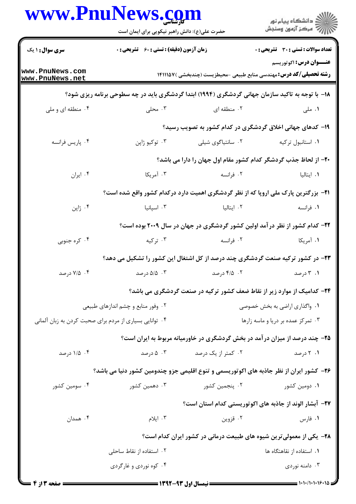| www.PnuNews.com                                         | حضرت علی(ع): دانش راهبر نیکویی برای ایمان است                                                                                    |                    | الاد دانشگاه پيام نور<br>الاس مرکز آزمون وسنجش                                                   |
|---------------------------------------------------------|----------------------------------------------------------------------------------------------------------------------------------|--------------------|--------------------------------------------------------------------------------------------------|
| <b>سری سوال : ۱ یک</b>                                  | <b>زمان آزمون (دقیقه) : تستی : 60 ٪ تشریحی : 0</b><br><b>رشته تحصیلی/کد درس:</b> مهندسی منابع طبیعی -محیطزیست (چندبخشی ) ۱۴۱۱۱۵۷ |                    | <b>تعداد سوالات : تستی : 30 ٪ تشریحی : 0</b>                                                     |
| www.PnuNews.com<br>www.PnuNews.net                      |                                                                                                                                  |                    | <b>عنــوان درس:</b> اکوتوریسم                                                                    |
|                                                         |                                                                                                                                  |                    | ۱۸- با توجه به تاکید سازمان جهانی گردشگری (۱۹۹۴) ابتدا گردشگری باید در چه سطوحی برنامه ریزی شود؟ |
| ۰۴ منطقه ای و ملی                                       | ۰۳ محلی $\cdot$                                                                                                                  | ۰۲ منطقه ای        | ۰۱ ملی                                                                                           |
|                                                         |                                                                                                                                  |                    | ۱۹- کدهای جهانی اخلاق گردشگری در کدام کشور به تصویب رسید؟                                        |
| ۰۴ پاریس فرانسه                                         | ۰۳ توکيو ژاپن                                                                                                                    | ۰۲ سانتیاگوی شیلی  | ٠١. استانبول تركيه                                                                               |
|                                                         |                                                                                                                                  |                    | ۲۰- از لحاظ جذب گردشگر کدام کشور مقام اول جهان را دارا می باشد؟                                  |
| ۰۴ ایران                                                | ۰۳ آمریکا                                                                                                                        | ۲. فرانسه          | ۰۱ ایتالیا                                                                                       |
|                                                         |                                                                                                                                  |                    | <b>۲۱</b> - بزرگترین پارک ملی اروپا که از نظر گردشگری اهمیت دارد درکدام کشور واقع شده است؟       |
| ۰۴ ژاپن                                                 | ۰۳ اسپانیا                                                                                                                       | ۰۲ ایتالیا         | ۰۱ فرانسه                                                                                        |
|                                                         |                                                                                                                                  |                    | ۲۲– کدام کشور از نظر در آمد اولین کشور گردشگری در جهان در سال ۲۰۰۹ بوده است؟                     |
| ۰۴ کره جنوبی                                            | ۰۳ ترکیه                                                                                                                         | ۰۲ فرانسه          | ۰۱ آمریکا                                                                                        |
|                                                         |                                                                                                                                  |                    | ۲۳- در کشور ترکیه صنعت گردشگری چند درصد از کل اشتغال این کشور را تشکیل می دهد؟                   |
| ۰۴ (۷/۵ درصد                                            | ۰۳ . ۵/۵ درصد                                                                                                                    | ۰۲ درصد            | ۰۱ ۲ درصد                                                                                        |
|                                                         | ۲۴– کدامیک از موارد زیر از نقاط ضعف کشور ترکیه در صنعت گردشگری می باشد؟                                                          |                    |                                                                                                  |
| ۰۲ وفور منابع و چشم اندازهای طبیعی                      |                                                                                                                                  |                    | ۰۱ واگذاری اراضی به بخش خصوصی                                                                    |
| ۰۴ توانایی بسیاری از مردم برای صحبت کردن به زبان آلمانی |                                                                                                                                  |                    | ۰۳ تمرکز عمده بر دریا و ماسه زارها                                                               |
|                                                         |                                                                                                                                  |                    | ۲۵- چند درصد از میزان در آمد در بخش گردشگری در خاورمیانه مربوط به ایران است؟                     |
| ۰۴ درصد                                                 | ۰۳ درصد                                                                                                                          | ۰۲ کمتر از یک درصد | ۰۱ درصد                                                                                          |
|                                                         |                                                                                                                                  |                    | ۲۶– کشور ایران از نظر جاذبه های اکوتوریسمی و تنوع اقلیمی جزو چندومین کشور دنیا می باشد؟          |
| ۰۴ سومین کشور                                           | ۰۳ دهمین کشور                                                                                                                    | ۰۲ پنجمین کشور     | ۰۱ دومین کشور                                                                                    |
|                                                         |                                                                                                                                  |                    | ۲۷- آبشار الوند از جاذبه های اکوتوریستی کدام استان است؟                                          |
| ۰۴ همدان                                                | ۰۳ ایلام                                                                                                                         | ۰۲ قزوین           | ۰۱ فارس                                                                                          |
|                                                         |                                                                                                                                  |                    | ۲۸- یکی از معمولی ترین شیوه های طبیعت درمانی در کشور ایران کدام است؟                             |
|                                                         | ۰۲ استفاده از نقاط ساحلی                                                                                                         |                    | ٠١. استفاده از نقاهتگاه ها                                                                       |
|                                                         | ۰۴ کوه نوردی و غارگردی                                                                                                           |                    | ۰۳ دامنه نوردی                                                                                   |

 $= 1.1 - 11.1 - 18.18$